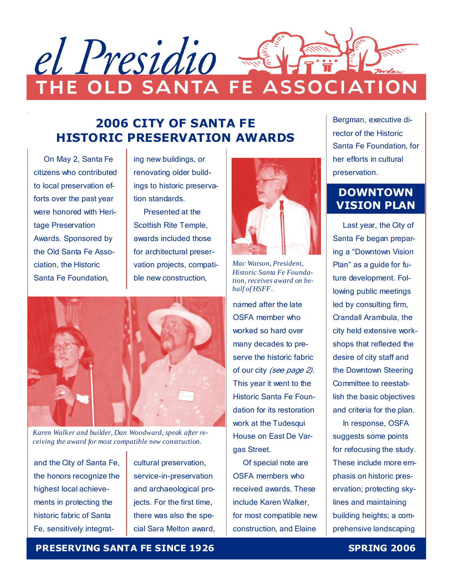

# 2006 CITY OF SANTA FE HISTORIC PRESERVATION AWARDS

 On May 2, Santa Fe citizens who contributed to local preservation efforts over the past year were honored with Heritage Preservation Awards. Sponsored by the Old Santa Fe Association, the Historic Santa Fe Foundation,

ing new buildings, or renovating older buildings to historic preservation standards.

 Presented at the Scottish Rite Temple, awards included those for architectural preservation projects, compatible new construction,



*Karen Walker and builder, Dan Woodward, speak after receiving the award for most compatible new construction.* 

and the City of Santa Fe, the honors recognize the highest local achievements in protecting the historic fabric of Santa Fe, sensitively integrat-

cultural preservation, service-in-preservation and archaeological projects. For the first time, there was also the special Sara Melton award,



*Mac Watson, President, Historic Santa Fe Foundation, receives award on behalf of HSFF.* 

named after the late OSFA member who worked so hard over many decades to preserve the historic fabric of our city (see page 2). This year it went to the Historic Santa Fe Foundation for its restoration work at the Tudesqui House on East De Vargas Street.

 Of special note are OSFA members who received awards. These include Karen Walker, for most compatible new construction, and Elaine

Bergman, executive director of the Historic Santa Fe Foundation, for her efforts in cultural preservation.

# DOWNTOWN VISION PLAN

 Last year, the City of Santa Fe began preparing a "Downtown Vision Plan" as a guide for future development. Following public meetings led by consulting firm, Crandall Arambula, the city held extensive workshops that reflected the desire of city staff and the Downtown Steering Committee to reestablish the basic objectives and criteria for the plan.

 In response, OSFA suggests some points for refocusing the study. These include more emphasis on historic preservation; protecting skylines and maintaining building heights; a comprehensive landscaping

# PRESERVING SANTA FE SINCE 1926 SPRING 2006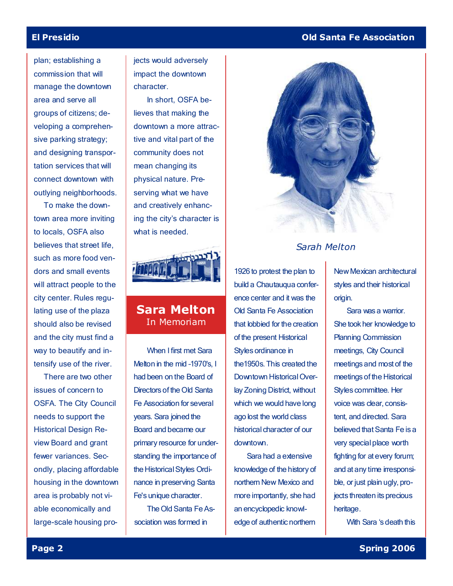# El Presidio Old Santa Fe Association

plan; establishing a commission that will manage the downtown area and serve all groups of citizens; developing a comprehensive parking strategy; and designing transportation services that will connect downtown with outlying neighborhoods.

 To make the downtown area more inviting to locals, OSFA also believes that street life, such as more food vendors and small events will attract people to the city center. Rules regulating use of the plaza should also be revised and the city must find a way to beautify and intensify use of the river.

 There are two other issues of concern to OSFA. The City Council needs to support the Historical Design Review Board and grant fewer variances. Secondly, placing affordable housing in the downtown area is probably not viable economically and large-scale housing projects would adversely impact the downtown character.

 In short, OSFA believes that making the downtown a more attractive and vital part of the community does not mean changing its physical nature. Preserving what we have and creatively enhancing the city's character is what is needed.



# Sara Melton In Memoriam

 When I first met Sara Melton in the mid –1970's, I had been on the Board of Directors of the Old Santa Fe Association for several years. Sara joined the Board and became our primary resource for understanding the importance of the Historical Styles Ordinance in preserving Santa Fe's unique character.

 The Old Santa Fe Association was formed in



# Sarah Melton

1926 to protest the plan to build a Chautauqua conference center and it was the Old Santa Fe Association that lobbied for the creation of the present Historical Styles ordinance in the1950s. This created the Downtown Historical Overlay Zoning District, without which we would have long ago lost the world class historical character of our downtown.

 Sara had a extensive knowledge of the history of northern New Mexico and more importantly, she had an encyclopedic knowledge of authentic northern

New Mexican architectural styles and their historical origin.

 Sara was a warrior. She took her knowledge to Planning Commission meetings, City Council meetings and most of the meetings of the Historical Styles committee. Her voice was clear, consistent, and directed. Sara believed that Santa Fe is a very special place worth fighting for at every forum; and at any time irresponsible, or just plain ugly, projects threaten its precious heritage.

With Sara 's death this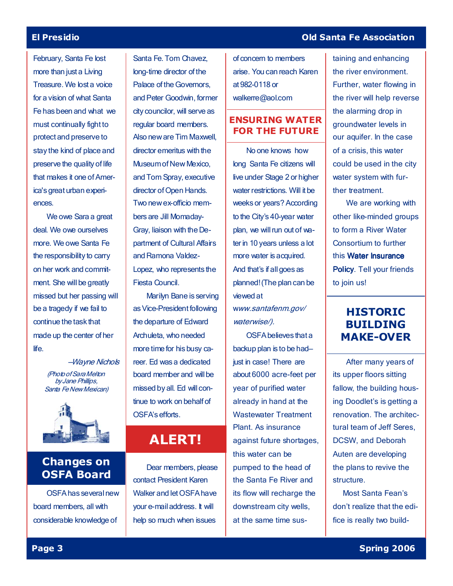February, Santa Fe lost more than just a Living Treasure. We lost a voice for a vision of what Santa Fe has been and what we must continually fight to protect and preserve to stay the kind of place and preserve the quality of life that makes it one of America's great urban experiences.

 We owe Sara a great deal. We owe ourselves more. We owe Santa Fe the responsibility to carry on her work and commitment. She will be greatly missed but her passing will be a tragedy if we fail to continue the task that made up the center of her life.

> —Wayne Nichols (Photo of Sara Melton by Jane Phillips, Santa Fe New Mexican)



# Changes on OSFA Board

 OSFA has several new board members, all with considerable knowledge of

Santa Fe. Tom Chavez, long-time director of the Palace of the Governors, and Peter Goodwin, former city councilor, will serve as regular board members. Also new are Tim Maxwell, director emeritus with the Museum of New Mexico, and Tom Spray, executive director of Open Hands. Two new ex-officio members are Jill Momaday-Gray, liaison with the Department of Cultural Affairs and Ramona Valdez-Lopez, who represents the Fiesta Council.

 Marilyn Bane is serving as Vice-President following the departure of Edward Archuleta, who needed more time for his busy career. Ed was a dedicated board member and will be missed by all. Ed will continue to work on behalf of OSFA's efforts.

# ALERT!

 Dear members, please contact President Karen Walker and let OSFA have your e-mail address. It will help so much when issues

of concern to members arise. You can reach Karen at 982-0118 or walkerre@aol.com

## ENSURING WATER FOR THE FUTURE

 No one knows how long Santa Fe citizens will live under Stage 2 or higher water restrictions. Will it be weeks or years? According to the City's 40-year water plan, we will run out of water in 10 years unless a lot more water is acquired. And that's if all goes as planned! (The plan can be viewed at

www.santafenm.gov/ waterwise/).

OSFA believes that a backup plan is to be had just in case! There are about 6000 acre-feet per year of purified water already in hand at the Wastewater Treatment Plant. As insurance against future shortages, this water can be pumped to the head of the Santa Fe River and its flow will recharge the downstream city wells, at the same time sus-

### El Presidio Old Santa Fe Association

taining and enhancing the river environment. Further, water flowing in the river will help reverse the alarming drop in groundwater levels in our aquifer. In the case of a crisis, this water could be used in the city water system with further treatment.

 We are working with other like-minded groups to form a River Water Consortium to further this Water Insurance Policy. Tell your friends to join us!

# HISTORIC BUILDING MAKE-OVER

 After many years of its upper floors sitting fallow, the building housing Doodlet's is getting a renovation. The architectural team of Jeff Seres, DCSW, and Deborah Auten are developing the plans to revive the structure.

 Most Santa Fean's don't realize that the edifice is really two build-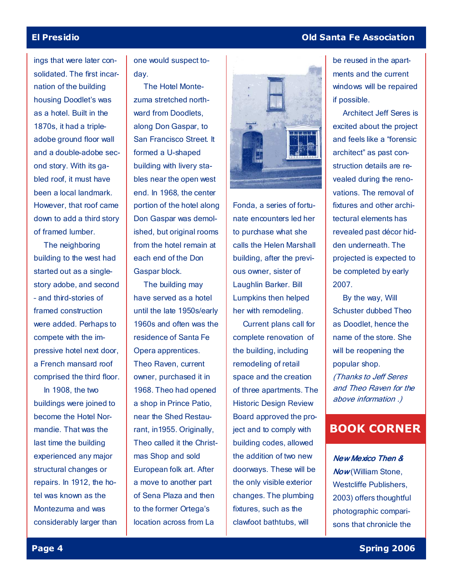ings that were later consolidated. The first incarnation of the building housing Doodlet's was as a hotel. Built in the 1870s, it had a tripleadobe ground floor wall and a double-adobe second story. With its gabled roof, it must have been a local landmark. However, that roof came down to add a third story of framed lumber.

The neighboring building to the west had started out as a singlestory adobe, and second – and third-stories of framed construction were added. Perhaps to compete with the impressive hotel next door, a French mansard roof comprised the third floor.

 In 1908, the two buildings were joined to become the Hotel Normandie. That was the last time the building experienced any major structural changes or repairs. In 1912, the hotel was known as the Montezuma and was considerably larger than one would suspect today.

 The Hotel Montezuma stretched northward from Doodlets, along Don Gaspar, to San Francisco Street. It formed a U-shaped building with livery stables near the open west end. In 1968, the center portion of the hotel along Don Gaspar was demolished, but original rooms from the hotel remain at each end of the Don Gaspar block.

 The building may have served as a hotel until the late 1950s/early 1960s and often was the residence of Santa Fe Opera apprentices. Theo Raven, current owner, purchased it in 1968. Theo had opened a shop in Prince Patio, near the Shed Restaurant, in1955. Originally, Theo called it the Christmas Shop and sold European folk art. After a move to another part of Sena Plaza and then to the former Ortega's location across from La



Fonda, a series of fortunate encounters led her to purchase what she calls the Helen Marshall building, after the previous owner, sister of Laughlin Barker. Bill Lumpkins then helped her with remodeling.

 Current plans call for complete renovation of the building, including remodeling of retail space and the creation of three apartments. The Historic Design Review Board approved the project and to comply with building codes, allowed the addition of two new doorways. These will be the only visible exterior changes. The plumbing fixtures, such as the clawfoot bathtubs, will

## El Presidio Old Santa Fe Association

be reused in the apartments and the current windows will be repaired if possible.

 Architect Jeff Seres is excited about the project and feels like a "forensic architect" as past construction details are revealed during the renovations. The removal of fixtures and other architectural elements has revealed past décor hidden underneath. The projected is expected to be completed by early 2007.

 By the way, Will Schuster dubbed Theo as Doodlet, hence the name of the store. She will be reopening the popular shop. (Thanks to Jeff Seres and Theo Raven for the above information .)

# BOOK CORNER

New Mexico Then & Now(William Stone, Westcliffe Publishers, 2003) offers thoughtful photographic comparisons that chronicle the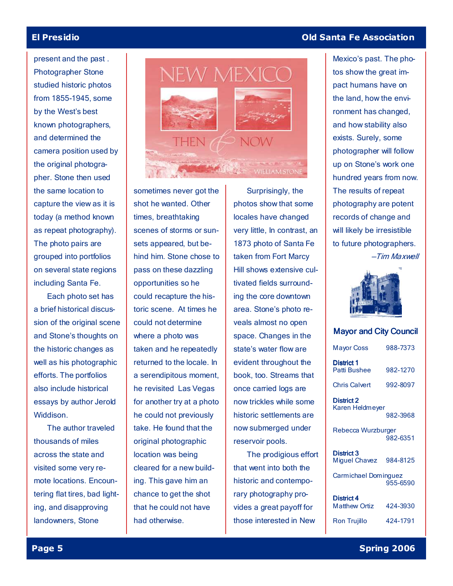present and the past . Photographer Stone studied historic photos from 1855-1945, some by the West's best known photographers, and determined the camera position used by the original photographer. Stone then used the same location to capture the view as it is today (a method known as repeat photography). The photo pairs are grouped into portfolios on several state regions including Santa Fe.

 Each photo set has a brief historical discussion of the original scene and Stone's thoughts on the historic changes as well as his photographic efforts. The portfolios also include historical essays by author Jerold Widdison.

 The author traveled thousands of miles across the state and visited some very remote locations. Encountering flat tires, bad lighting, and disapproving landowners, Stone



sometimes never got the shot he wanted. Other times, breathtaking scenes of storms or sunsets appeared, but behind him. Stone chose to pass on these dazzling opportunities so he could recapture the historic scene. At times he could not determine where a photo was taken and he repeatedly returned to the locale. In a serendipitous moment, he revisited Las Vegas for another try at a photo he could not previously take. He found that the original photographic location was being cleared for a new building. This gave him an chance to get the shot that he could not have had otherwise.

 Surprisingly, the photos show that some locales have changed very little, In contrast, an 1873 photo of Santa Fe taken from Fort Marcy Hill shows extensive cultivated fields surrounding the core downtown area. Stone's photo reveals almost no open space. Changes in the state's water flow are evident throughout the book, too. Streams that once carried logs are now trickles while some historic settlements are now submerged under reservoir pools.

 The prodigious effort that went into both the historic and contemporary photography provides a great payoff for those interested in New

### El Presidio Old Santa Fe Association

Mexico's past. The photos show the great impact humans have on the land, how the environment has changed, and how stability also exists. Surely, some photographer will follow up on Stone's work one hundred years from now. The results of repeat photography are potent records of change and will likely be irresistible to future photographers. —Tim Maxwell



### Mayor and City Council

| 988-7373                         |
|----------------------------------|
| 982-1270                         |
| 992-8097                         |
| Karen Heldmeyer<br>982-3968      |
| Rebecca Wurzburger<br>982-6351   |
| 984-8125                         |
| Carmichael Dominguez<br>955-6590 |
|                                  |
| 424-3930                         |
| 424-1791                         |
|                                  |